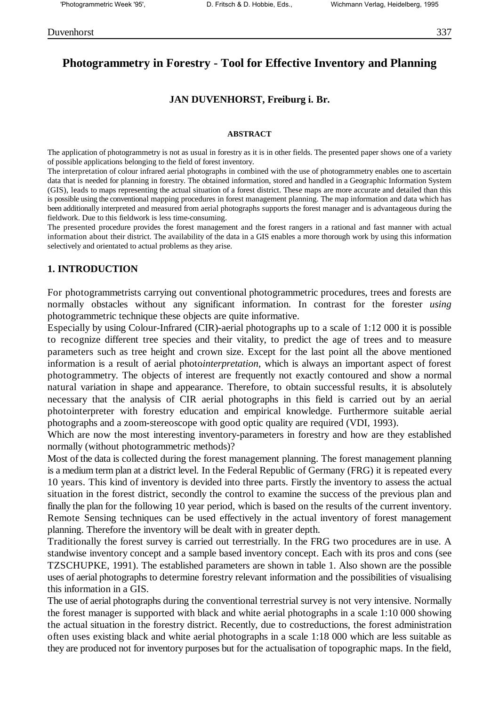# **Photogrammetry in Forestry - Tool for Effective Inventory and Planning**

## **JAN DUVENHORST, Freiburg i. Br.**

#### **ABSTRACT**

The application of photogrammetry is not as usual in forestry as it is in other fields. The presented paper shows one of a variety of possible applications belonging to the field of forest inventory.

The interpretation of colour infrared aerial photographs in combined with the use of photogrammetry enables one to ascertain data that is needed for planning in forestry. The obtained information, stored and handled in a Geographic Information System (GIS), leads to maps representing the actual situation of a forest district. These maps are more accurate and detailed than this is possible using the conventional mapping procedures in forest management planning. The map information and data which has been additionally interpreted and measured from aerial photographs supports the forest manager and is advantageous during the fieldwork. Due to this fieldwork is less time-consuming.

The presented procedure provides the forest management and the forest rangers in a rational and fast manner with actual information about their district. The availability of the data in a GIS enables a more thorough work by using this information selectively and orientated to actual problems as they arise.

#### **1. INTRODUCTION**

For photogrammetrists carrying out conventional photogrammetric procedures, trees and forests are normally obstacles without any significant information. In contrast for the forester *using* photogrammetric technique these objects are quite informative.

Especially by using Colour-Infrared (CIR)-aerial photographs up to a scale of 1:12 000 it is possible to recognize different tree species and their vitality, to predict the age of trees and to measure parameters such as tree height and crown size. Except for the last point all the above mentioned information is a result of aerial photo*interpretation*, which is always an important aspect of forest photogrammetry. The objects of interest are frequently not exactly contoured and show a normal natural variation in shape and appearance. Therefore, to obtain successful results, it is absolutely necessary that the analysis of CIR aerial photographs in this field is carried out by an aerial photointerpreter with forestry education and empirical knowledge. Furthermore suitable aerial photographs and a zoom-stereoscope with good optic quality are required (VDI, 1993).

Which are now the most interesting inventory-parameters in forestry and how are they established normally (without photogrammetric methods)?

Most of the data is collected during the forest management planning. The forest management planning is a medium term plan at a district level. In the Federal Republic of Germany (FRG) it is repeated every 10 years. This kind of inventory is devided into three parts. Firstly the inventory to assess the actual situation in the forest district, secondly the control to examine the success of the previous plan and finally the plan for the following 10 year period, which is based on the results of the current inventory. Remote Sensing techniques can be used effectively in the actual inventory of forest management planning. Therefore the inventory will be dealt with in greater depth.

Traditionally the forest survey is carried out terrestrially. In the FRG two procedures are in use. A standwise inventory concept and a sample based inventory concept. Each with its pros and cons (see TZSCHUPKE, 1991). The established parameters are shown in table 1. Also shown are the possible uses of aerial photographs to determine forestry relevant information and the possibilities of visualising this information in a GIS.

The use of aerial photographs during the conventional terrestrial survey is not very intensive. Normally the forest manager is supported with black and white aerial photographs in a scale 1:10 000 showing the actual situation in the forestry district. Recently, due to costreductions, the forest administration often uses existing black and white aerial photographs in a scale 1:18 000 which are less suitable as they are produced not for inventory purposes but for the actualisation of topographic maps. In the field,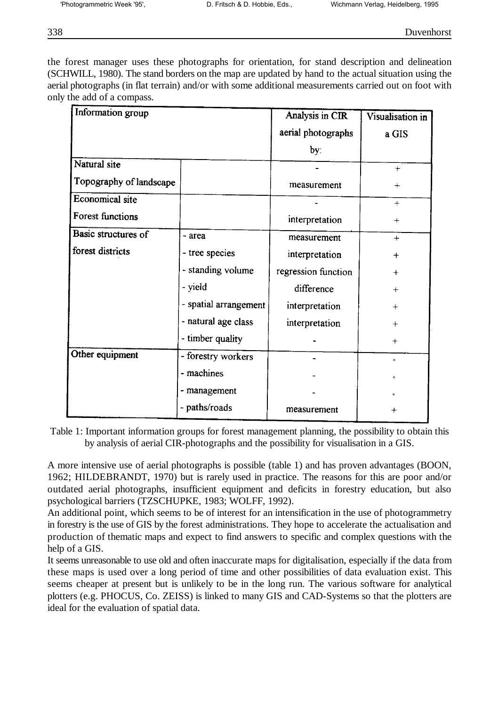the forest manager uses these photographs for orientation, for stand description and delineation (SCHWILL, 1980). The stand borders on the map are updated by hand to the actual situation using the aerial photographs (in flat terrain) and/or with some additional measurements carried out on foot with only the add of a compass.

| Information group       |                       | Analysis in CIR     | Visualisation in |
|-------------------------|-----------------------|---------------------|------------------|
|                         |                       | aerial photographs  | a GIS            |
|                         |                       | by:                 |                  |
| Natural site            |                       |                     | $+$              |
| Topography of landscape |                       | measurement         | $+$              |
| <b>Economical site</b>  |                       |                     | $+$              |
| <b>Forest functions</b> |                       | interpretation      | $+$              |
| Basic structures of     | - area                | measurement         | $+$              |
| forest districts        | - tree species        | interpretation      | $+$              |
|                         | - standing volume     | regression function | $+$              |
|                         | - yield               | difference          | $+$              |
|                         | - spatial arrangement | interpretation      | $^{+}$           |
|                         | - natural age class   | interpretation      | ┿                |
|                         | - timber quality      |                     | $^{+}$           |
| Other equipment         | - forestry workers    |                     | $\circ$          |
|                         | - machines            |                     | $\circ$          |
|                         | - management          |                     |                  |
|                         | - paths/roads         | measurement         | $\pm$            |

Table 1: Important information groups for forest management planning, the possibility to obtain this by analysis of aerial CIR-photographs and the possibility for visualisation in a GIS.

A more intensive use of aerial photographs is possible (table 1) and has proven advantages (BOON, 1962; HILDEBRANDT, 1970) but is rarely used in practice. The reasons for this are poor and/or outdated aerial photographs, insufficient equipment and deficits in forestry education, but also psychological barriers (TZSCHUPKE, 1983; WOLFF, 1992).

An additional point, which seems to be of interest for an intensification in the use of photogrammetry in forestry is the use of GIS by the forest administrations. They hope to accelerate the actualisation and production of thematic maps and expect to find answers to specific and complex questions with the help of a GIS.

It seems unreasonable to use old and often inaccurate maps for digitalisation, especially if the data from these maps is used over a long period of time and other possibilities of data evaluation exist. This seems cheaper at present but is unlikely to be in the long run. The various software for analytical plotters (e.g. PHOCUS, Co. ZEISS) is linked to many GIS and CAD-Systems so that the plotters are ideal for the evaluation of spatial data.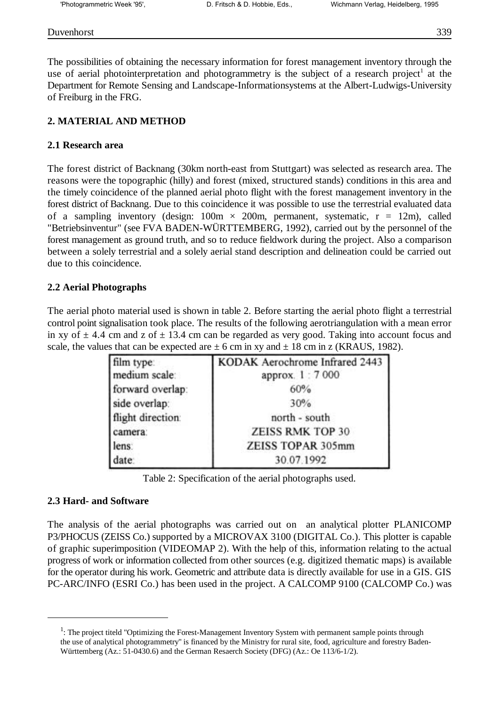#### Duvenhorst 339

The possibilities of obtaining the necessary information for forest management inventory through the use of aerial photointerpretation and photogrammetry is the subject of a research project<sup>1</sup> at the Department for Remote Sensing and Landscape-Informationsystems at the Albert-Ludwigs-University of Freiburg in the FRG.

## **2. MATERIAL AND METHOD**

## **2.1 Research area**

The forest district of Backnang (30km north-east from Stuttgart) was selected as research area. The reasons were the topographic (hilly) and forest (mixed, structured stands) conditions in this area and the timely coincidence of the planned aerial photo flight with the forest management inventory in the forest district of Backnang. Due to this coincidence it was possible to use the terrestrial evaluated data of a sampling inventory (design:  $100m \times 200m$ , permanent, systematic,  $r = 12m$ ), called "Betriebsinventur" (see FVA BADEN-WÜRTTEMBERG, 1992), carried out by the personnel of the forest management as ground truth, and so to reduce fieldwork during the project. Also a comparison between a solely terrestrial and a solely aerial stand description and delineation could be carried out due to this coincidence.

## **2.2 Aerial Photographs**

The aerial photo material used is shown in table 2. Before starting the aerial photo flight a terrestrial control point signalisation took place. The results of the following aerotriangulation with a mean error in xy of  $\pm$  4.4 cm and z of  $\pm$  13.4 cm can be regarded as very good. Taking into account focus and scale, the values that can be expected are  $\pm$  6 cm in xy and  $\pm$  18 cm in z (KRAUS, 1982).

| film type:        | KODAK Aerochrome Infrared 2443 |  |  |
|-------------------|--------------------------------|--|--|
| medium scale:     | approx. 1:7000                 |  |  |
| forward overlap:  | 60%                            |  |  |
| side overlap:     | 30%                            |  |  |
| flight direction: | north - south                  |  |  |
| camera:           | <b>ZEISS RMK TOP 30</b>        |  |  |
| lens:             | ZEISS TOPAR 305mm              |  |  |
| date:             | 30.07.1992                     |  |  |

Table 2: Specification of the aerial photographs used.

#### **2.3 Hard- and Software**

The analysis of the aerial photographs was carried out on an analytical plotter PLANICOMP P3/PHOCUS (ZEISS Co.) supported by a MICROVAX 3100 (DIGITAL Co.). This plotter is capable of graphic superimposition (VIDEOMAP 2). With the help of this, information relating to the actual progress of work or information collected from other sources (e.g. digitized thematic maps) is available for the operator during his work. Geometric and attribute data is directly available for use in a GIS. GIS PC-ARC/INFO (ESRI Co.) has been used in the project. A CALCOMP 9100 (CALCOMP Co.) was

 $1$ : The project titeld "Optimizing the Forest-Management Inventory System with permanent sample points through the use of analytical photogrammetry" is financed by the Ministry for rural site, food, agriculture and forestry Baden-Württemberg (Az.: 51-0430.6) and the German Resaerch Society (DFG) (Az.: Oe 113/6-1/2).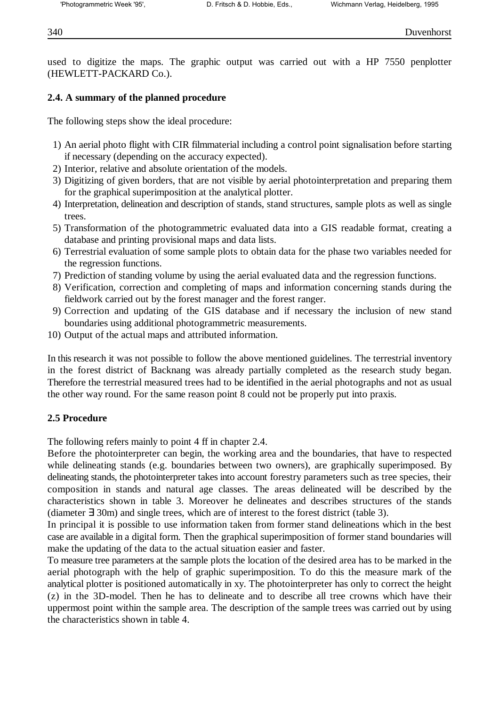used to digitize the maps. The graphic output was carried out with a HP 7550 penplotter (HEWLETT-PACKARD Co.).

## **2.4. A summary of the planned procedure**

The following steps show the ideal procedure:

- 1) An aerial photo flight with CIR filmmaterial including a control point signalisation before starting if necessary (depending on the accuracy expected).
- 2) Interior, relative and absolute orientation of the models.
- 3) Digitizing of given borders, that are not visible by aerial photointerpretation and preparing them for the graphical superimposition at the analytical plotter.
- 4) Interpretation, delineation and description of stands, stand structures, sample plots as well as single trees.
- 5) Transformation of the photogrammetric evaluated data into a GIS readable format, creating a database and printing provisional maps and data lists.
- 6) Terrestrial evaluation of some sample plots to obtain data for the phase two variables needed for the regression functions.
- 7) Prediction of standing volume by using the aerial evaluated data and the regression functions.
- 8) Verification, correction and completing of maps and information concerning stands during the fieldwork carried out by the forest manager and the forest ranger.
- 9) Correction and updating of the GIS database and if necessary the inclusion of new stand boundaries using additional photogrammetric measurements.
- 10) Output of the actual maps and attributed information.

In this research it was not possible to follow the above mentioned guidelines. The terrestrial inventory in the forest district of Backnang was already partially completed as the research study began. Therefore the terrestrial measured trees had to be identified in the aerial photographs and not as usual the other way round. For the same reason point 8 could not be properly put into praxis.

## **2.5 Procedure**

The following refers mainly to point 4 ff in chapter 2.4.

Before the photointerpreter can begin, the working area and the boundaries, that have to respected while delineating stands (e.g. boundaries between two owners), are graphically superimposed. By delineating stands, the photointerpreter takes into account forestry parameters such as tree species, their composition in stands and natural age classes. The areas delineated will be described by the characteristics shown in table 3. Moreover he delineates and describes structures of the stands (diameter ∃ 30m) and single trees, which are of interest to the forest district (table 3).

In principal it is possible to use information taken from former stand delineations which in the best case are available in a digital form. Then the graphical superimposition of former stand boundaries will make the updating of the data to the actual situation easier and faster.

To measure tree parameters at the sample plots the location of the desired area has to be marked in the aerial photograph with the help of graphic superimposition. To do this the measure mark of the analytical plotter is positioned automatically in xy. The photointerpreter has only to correct the height (z) in the 3D-model. Then he has to delineate and to describe all tree crowns which have their uppermost point within the sample area. The description of the sample trees was carried out by using the characteristics shown in table 4.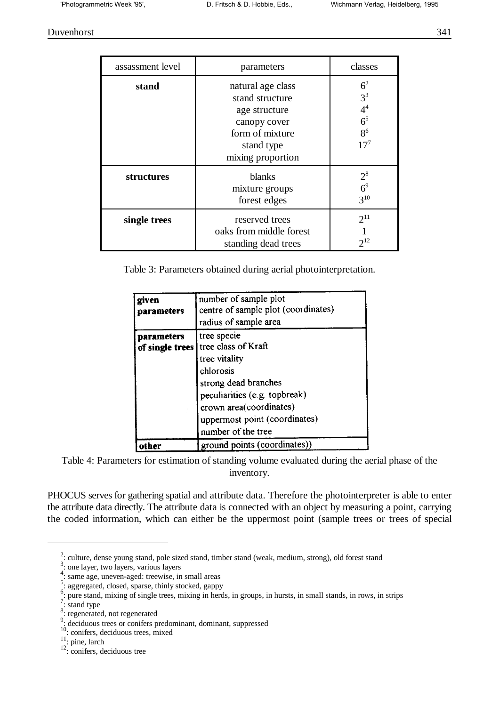Duvenhorst 341

| assassment level | parameters                                                                                                                  | classes                                                                                   |
|------------------|-----------------------------------------------------------------------------------------------------------------------------|-------------------------------------------------------------------------------------------|
| stand            | natural age class<br>stand structure<br>age structure<br>canopy cover<br>form of mixture<br>stand type<br>mixing proportion | 6 <sup>2</sup><br>$3^3$<br>$\mathbf{4}^4$<br>6 <sup>5</sup><br>8 <sup>6</sup><br>$17^{7}$ |
| structures       | blanks<br>mixture groups<br>forest edges                                                                                    | $2^8$<br>6 <sup>9</sup><br>$3^{10}$                                                       |
| single trees     | reserved trees<br>oaks from middle forest<br>standing dead trees                                                            | $2^{11}$<br>$2^{12}$                                                                      |

Table 3: Parameters obtained during aerial photointerpretation.

| given<br>parameters                  | number of sample plot<br>centre of sample plot (coordinates)<br>radius of sample area                                                                                                                       |
|--------------------------------------|-------------------------------------------------------------------------------------------------------------------------------------------------------------------------------------------------------------|
| <b>parameters</b><br>of single trees | tree specie<br>tree class of Kraft<br>tree vitality<br>chlorosis<br>strong dead branches<br>peculiarities (e.g. topbreak)<br>crown area(coordinates)<br>uppermost point (coordinates)<br>number of the tree |
|                                      | ground points (coordinates))                                                                                                                                                                                |

Table 4: Parameters for estimation of standing volume evaluated during the aerial phase of the inventory.

PHOCUS serves for gathering spatial and attribute data. Therefore the photointerpreter is able to enter the attribute data directly. The attribute data is connected with an object by measuring a point, carrying the coded information, which can either be the uppermost point (sample trees or trees of special

 $\frac{2}{3}$ : culture, dense young stand, pole sized stand, timber stand (weak, medium, strong), old forest stand

 $\frac{3}{3}$ : one layer, two layers, various layers

<sup>&</sup>lt;sup>4</sup>: same age, uneven-aged: treewise, in small areas

<sup>&</sup>lt;sup>5</sup>: aggregated, closed, sparse, thinly stocked, gappy

 $\frac{6}{1}$ : pure stand, mixing of single trees, mixing in herds, in groups, in hursts, in small stands, in rows, in strips

 $\frac{7}{1}$ : stand type

 $8:$  regenerated, not regenerated

 $\frac{9}{2}$ : deciduous trees or conifers predominant, dominant, suppressed

 $10$ : conifers, deciduous trees, mixed

 $\frac{11}{11}$ : pine, larch

 $\frac{12}{2}$ : conifers, deciduous tree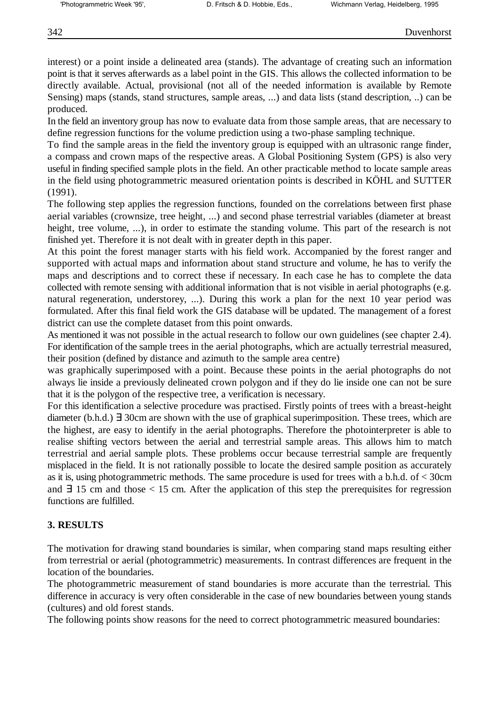interest) or a point inside a delineated area (stands). The advantage of creating such an information point is that it serves afterwards as a label point in the GIS. This allows the collected information to be directly available. Actual, provisional (not all of the needed information is available by Remote Sensing) maps (stands, stand structures, sample areas, ...) and data lists (stand description, ..) can be produced.

In the field an inventory group has now to evaluate data from those sample areas, that are necessary to define regression functions for the volume prediction using a two-phase sampling technique.

To find the sample areas in the field the inventory group is equipped with an ultrasonic range finder, a compass and crown maps of the respective areas. A Global Positioning System (GPS) is also very useful in finding specified sample plots in the field. An other practicable method to locate sample areas in the field using photogrammetric measured orientation points is described in KÖHL and SUTTER (1991).

The following step applies the regression functions, founded on the correlations between first phase aerial variables (crownsize, tree height, ...) and second phase terrestrial variables (diameter at breast height, tree volume, ...), in order to estimate the standing volume. This part of the research is not finished yet. Therefore it is not dealt with in greater depth in this paper.

At this point the forest manager starts with his field work. Accompanied by the forest ranger and supported with actual maps and information about stand structure and volume, he has to verify the maps and descriptions and to correct these if necessary. In each case he has to complete the data collected with remote sensing with additional information that is not visible in aerial photographs (e.g. natural regeneration, understorey, ...). During this work a plan for the next 10 year period was formulated. After this final field work the GIS database will be updated. The management of a forest district can use the complete dataset from this point onwards.

As mentioned it was not possible in the actual research to follow our own guidelines (see chapter 2.4). For identification of the sample trees in the aerial photographs, which are actually terrestrial measured, their position (defined by distance and azimuth to the sample area centre)

was graphically superimposed with a point. Because these points in the aerial photographs do not always lie inside a previously delineated crown polygon and if they do lie inside one can not be sure that it is the polygon of the respective tree, a verification is necessary.

For this identification a selective procedure was practised. Firstly points of trees with a breast-height diameter (b.h.d.) ∃ 30cm are shown with the use of graphical superimposition. These trees, which are the highest, are easy to identify in the aerial photographs. Therefore the photointerpreter is able to realise shifting vectors between the aerial and terrestrial sample areas. This allows him to match terrestrial and aerial sample plots. These problems occur because terrestrial sample are frequently misplaced in the field. It is not rationally possible to locate the desired sample position as accurately as it is, using photogrammetric methods. The same procedure is used for trees with a b.h.d. of < 30cm and  $\exists$  15 cm and those < 15 cm. After the application of this step the prerequisites for regression functions are fulfilled.

## **3. RESULTS**

The motivation for drawing stand boundaries is similar, when comparing stand maps resulting either from terrestrial or aerial (photogrammetric) measurements. In contrast differences are frequent in the location of the boundaries.

The photogrammetric measurement of stand boundaries is more accurate than the terrestrial. This difference in accuracy is very often considerable in the case of new boundaries between young stands (cultures) and old forest stands.

The following points show reasons for the need to correct photogrammetric measured boundaries: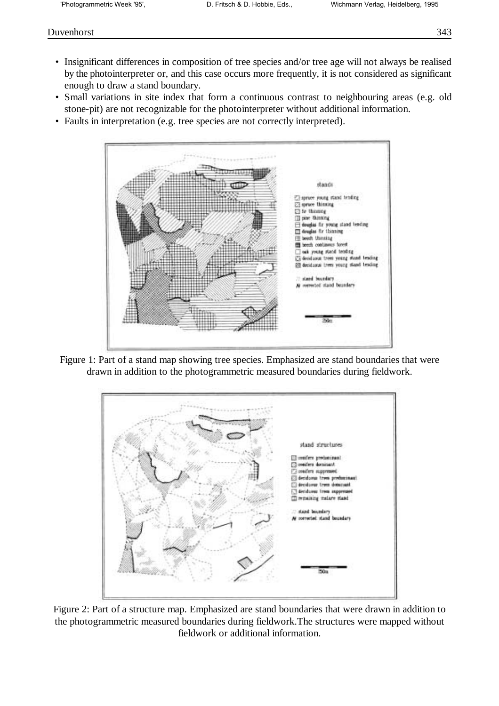- Insignificant differences in composition of tree species and/or tree age will not always be realised by the photointerpreter or, and this case occurs more frequently, it is not considered as significant enough to draw a stand boundary.
- Small variations in site index that form a continuous contrast to neighbouring areas (e.g. old stone-pit) are not recognizable for the photointerpreter without additional information.
- Faults in interpretation (e.g. tree species are not correctly interpreted).



Figure 1: Part of a stand map showing tree species. Emphasized are stand boundaries that were drawn in addition to the photogrammetric measured boundaries during fieldwork.



Figure 2: Part of a structure map. Emphasized are stand boundaries that were drawn in addition to the photogrammetric measured boundaries during fieldwork.The structures were mapped without fieldwork or additional information.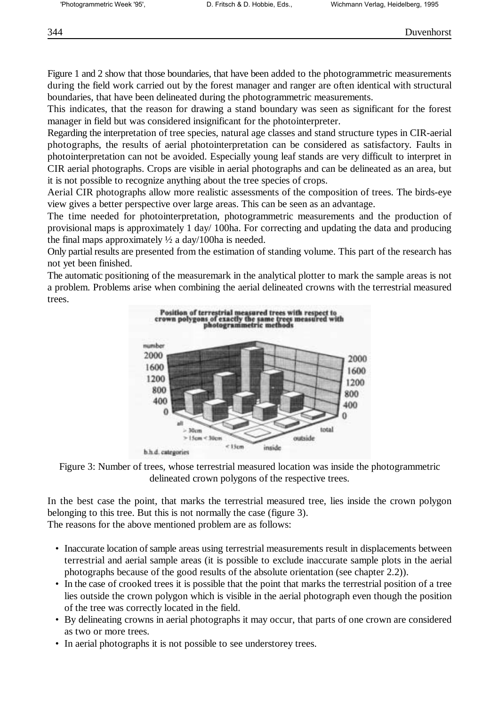Figure 1 and 2 show that those boundaries, that have been added to the photogrammetric measurements during the field work carried out by the forest manager and ranger are often identical with structural boundaries, that have been delineated during the photogrammetric measurements.

This indicates, that the reason for drawing a stand boundary was seen as significant for the forest manager in field but was considered insignificant for the photointerpreter.

Regarding the interpretation of tree species, natural age classes and stand structure types in CIR-aerial photographs, the results of aerial photointerpretation can be considered as satisfactory. Faults in photointerpretation can not be avoided. Especially young leaf stands are very difficult to interpret in CIR aerial photographs. Crops are visible in aerial photographs and can be delineated as an area, but it is not possible to recognize anything about the tree species of crops.

Aerial CIR photographs allow more realistic assessments of the composition of trees. The birds-eye view gives a better perspective over large areas. This can be seen as an advantage.

The time needed for photointerpretation, photogrammetric measurements and the production of provisional maps is approximately 1 day/ 100ha. For correcting and updating the data and producing the final maps approximately  $\frac{1}{2}$  a day/100ha is needed.

Only partial results are presented from the estimation of standing volume. This part of the research has not yet been finished.

The automatic positioning of the measuremark in the analytical plotter to mark the sample areas is not a problem. Problems arise when combining the aerial delineated crowns with the terrestrial measured trees.



Figure 3: Number of trees, whose terrestrial measured location was inside the photogrammetric delineated crown polygons of the respective trees.

In the best case the point, that marks the terrestrial measured tree, lies inside the crown polygon belonging to this tree. But this is not normally the case (figure 3). The reasons for the above mentioned problem are as follows:

- Inaccurate location of sample areas using terrestrial measurements result in displacements between terrestrial and aerial sample areas (it is possible to exclude inaccurate sample plots in the aerial photographs because of the good results of the absolute orientation (see chapter 2.2)).
- In the case of crooked trees it is possible that the point that marks the terrestrial position of a tree lies outside the crown polygon which is visible in the aerial photograph even though the position of the tree was correctly located in the field.
- By delineating crowns in aerial photographs it may occur, that parts of one crown are considered as two or more trees.
- In aerial photographs it is not possible to see understorey trees.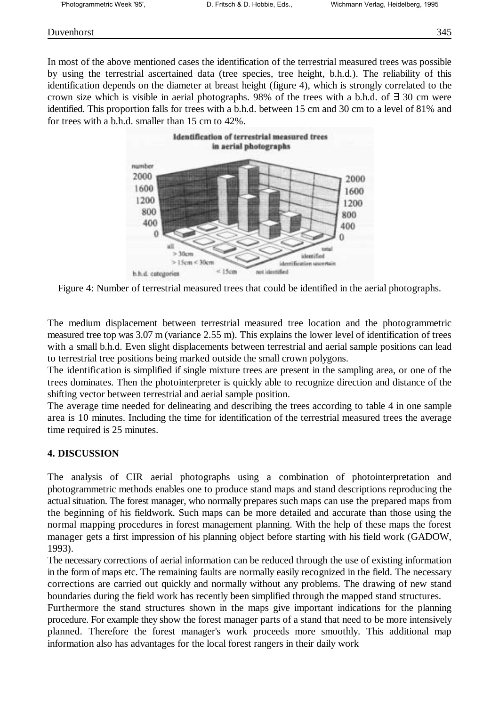### Duvenhorst 345

In most of the above mentioned cases the identification of the terrestrial measured trees was possible by using the terrestrial ascertained data (tree species, tree height, b.h.d.). The reliability of this identification depends on the diameter at breast height (figure 4), which is strongly correlated to the crown size which is visible in aerial photographs. 98% of the trees with a b.h.d. of ∃ 30 cm were identified. This proportion falls for trees with a b.h.d. between 15 cm and 30 cm to a level of 81% and for trees with a b.h.d. smaller than 15 cm to 42%.



Figure 4: Number of terrestrial measured trees that could be identified in the aerial photographs.

The medium displacement between terrestrial measured tree location and the photogrammetric measured tree top was 3.07 m (variance 2.55 m). This explains the lower level of identification of trees with a small b.h.d. Even slight displacements between terrestrial and aerial sample positions can lead to terrestrial tree positions being marked outside the small crown polygons.

The identification is simplified if single mixture trees are present in the sampling area, or one of the trees dominates. Then the photointerpreter is quickly able to recognize direction and distance of the shifting vector between terrestrial and aerial sample position.

The average time needed for delineating and describing the trees according to table 4 in one sample area is 10 minutes. Including the time for identification of the terrestrial measured trees the average time required is 25 minutes.

## **4. DISCUSSION**

The analysis of CIR aerial photographs using a combination of photointerpretation and photogrammetric methods enables one to produce stand maps and stand descriptions reproducing the actual situation. The forest manager, who normally prepares such maps can use the prepared maps from the beginning of his fieldwork. Such maps can be more detailed and accurate than those using the normal mapping procedures in forest management planning. With the help of these maps the forest manager gets a first impression of his planning object before starting with his field work (GADOW, 1993).

The necessary corrections of aerial information can be reduced through the use of existing information in the form of maps etc. The remaining faults are normally easily recognized in the field. The necessary corrections are carried out quickly and normally without any problems. The drawing of new stand boundaries during the field work has recently been simplified through the mapped stand structures.

Furthermore the stand structures shown in the maps give important indications for the planning procedure. For example they show the forest manager parts of a stand that need to be more intensively planned. Therefore the forest manager's work proceeds more smoothly. This additional map information also has advantages for the local forest rangers in their daily work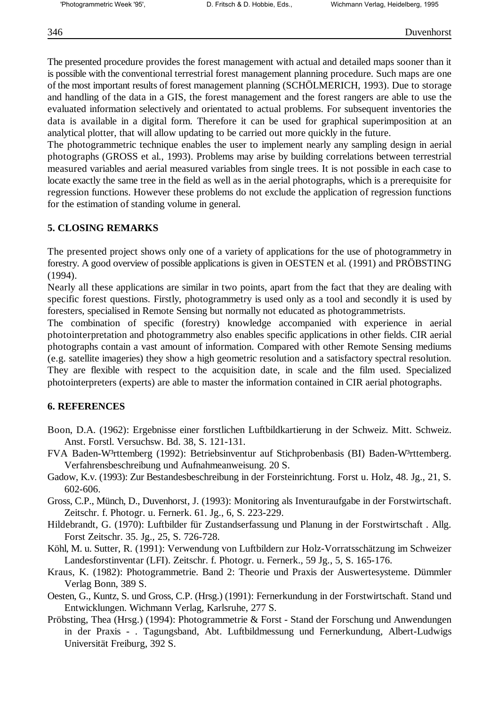The presented procedure provides the forest management with actual and detailed maps sooner than it is possible with the conventional terrestrial forest management planning procedure. Such maps are one of the most important results of forest management planning (SCHÖLMERICH, 1993). Due to storage and handling of the data in a GIS, the forest management and the forest rangers are able to use the evaluated information selectively and orientated to actual problems. For subsequent inventories the data is available in a digital form. Therefore it can be used for graphical superimposition at an analytical plotter, that will allow updating to be carried out more quickly in the future.

The photogrammetric technique enables the user to implement nearly any sampling design in aerial photographs (GROSS et al., 1993). Problems may arise by building correlations between terrestrial measured variables and aerial measured variables from single trees. It is not possible in each case to locate exactly the same tree in the field as well as in the aerial photographs, which is a prerequisite for regression functions. However these problems do not exclude the application of regression functions for the estimation of standing volume in general.

## **5. CLOSING REMARKS**

The presented project shows only one of a variety of applications for the use of photogrammetry in forestry. A good overview of possible applications is given in OESTEN et al. (1991) and PRÖBSTING (1994).

Nearly all these applications are similar in two points, apart from the fact that they are dealing with specific forest questions. Firstly, photogrammetry is used only as a tool and secondly it is used by foresters, specialised in Remote Sensing but normally not educated as photogrammetrists.

The combination of specific (forestry) knowledge accompanied with experience in aerial photointerpretation and photogrammetry also enables specific applications in other fields. CIR aerial photographs contain a vast amount of information. Compared with other Remote Sensing mediums (e.g. satellite imageries) they show a high geometric resolution and a satisfactory spectral resolution. They are flexible with respect to the acquisition date, in scale and the film used. Specialized photointerpreters (experts) are able to master the information contained in CIR aerial photographs.

## **6. REFERENCES**

- Boon, D.A. (1962): Ergebnisse einer forstlichen Luftbildkartierung in der Schweiz. Mitt. Schweiz. Anst. Forstl. Versuchsw. Bd. 38, S. 121-131.
- FVA Baden-W<sup>3</sup>rttemberg (1992): Betriebsinventur auf Stichprobenbasis (BI) Baden-W<sup>3</sup>rttemberg. Verfahrensbeschreibung und Aufnahmeanweisung. 20 S.
- Gadow, K.v. (1993): Zur Bestandesbeschreibung in der Forsteinrichtung. Forst u. Holz, 48. Jg., 21, S. 602-606.
- Gross, C.P., Münch, D., Duvenhorst, J. (1993): Monitoring als Inventuraufgabe in der Forstwirtschaft. Zeitschr. f. Photogr. u. Fernerk. 61. Jg., 6, S. 223-229.
- Hildebrandt, G. (1970): Luftbilder für Zustandserfassung und Planung in der Forstwirtschaft . Allg. Forst Zeitschr. 35. Jg., 25, S. 726-728.
- Köhl, M. u. Sutter, R. (1991): Verwendung von Luftbildern zur Holz-Vorratsschätzung im Schweizer Landesforstinventar (LFI). Zeitschr. f. Photogr. u. Fernerk., 59 Jg., 5, S. 165-176.
- Kraus, K. (1982): Photogrammetrie. Band 2: Theorie und Praxis der Auswertesysteme. Dümmler Verlag Bonn, 389 S.
- Oesten, G., Kuntz, S. und Gross, C.P. (Hrsg.) (1991): Fernerkundung in der Forstwirtschaft. Stand und Entwicklungen. Wichmann Verlag, Karlsruhe, 277 S.
- Pröbsting, Thea (Hrsg.) (1994): Photogrammetrie & Forst Stand der Forschung und Anwendungen in der Praxis - . Tagungsband, Abt. Luftbildmessung und Fernerkundung, Albert-Ludwigs Universität Freiburg, 392 S.